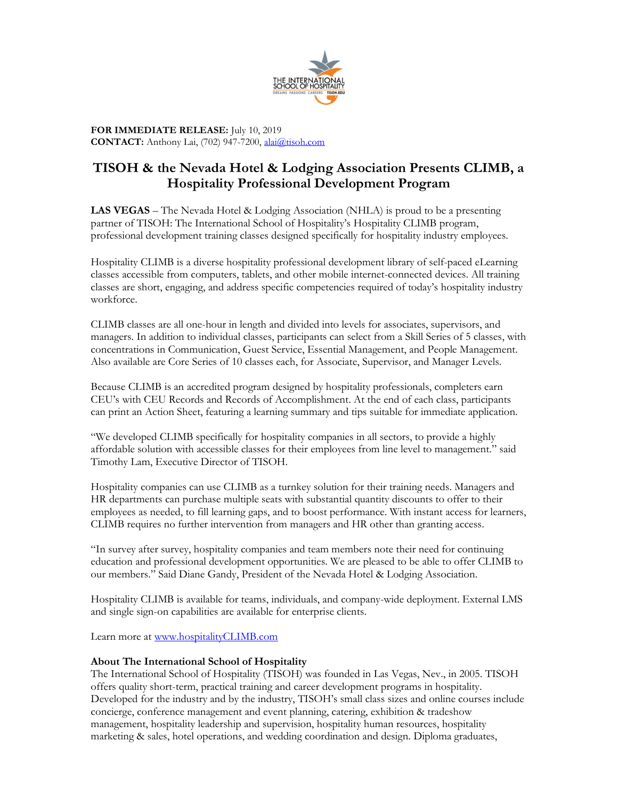

FOR IMMEDIATE RELEASE: July 10, 2019 CONTACT: Anthony Lai, (702) 947-7200, alai@tisoh.com

## TISOH & the Nevada Hotel & Lodging Association Presents CLIMB, a Hospitality Professional Development Program

LAS VEGAS – The Nevada Hotel & Lodging Association (NHLA) is proud to be a presenting partner of TISOH: The International School of Hospitality's Hospitality CLIMB program, professional development training classes designed specifically for hospitality industry employees.

Hospitality CLIMB is a diverse hospitality professional development library of self-paced eLearning classes accessible from computers, tablets, and other mobile internet-connected devices. All training classes are short, engaging, and address specific competencies required of today's hospitality industry workforce.

CLIMB classes are all one-hour in length and divided into levels for associates, supervisors, and managers. In addition to individual classes, participants can select from a Skill Series of 5 classes, with concentrations in Communication, Guest Service, Essential Management, and People Management. Also available are Core Series of 10 classes each, for Associate, Supervisor, and Manager Levels.

Because CLIMB is an accredited program designed by hospitality professionals, completers earn CEU's with CEU Records and Records of Accomplishment. At the end of each class, participants can print an Action Sheet, featuring a learning summary and tips suitable for immediate application.

"We developed CLIMB specifically for hospitality companies in all sectors, to provide a highly affordable solution with accessible classes for their employees from line level to management." said Timothy Lam, Executive Director of TISOH.

Hospitality companies can use CLIMB as a turnkey solution for their training needs. Managers and HR departments can purchase multiple seats with substantial quantity discounts to offer to their employees as needed, to fill learning gaps, and to boost performance. With instant access for learners, CLIMB requires no further intervention from managers and HR other than granting access.

"In survey after survey, hospitality companies and team members note their need for continuing education and professional development opportunities. We are pleased to be able to offer CLIMB to our members." Said Diane Gandy, President of the Nevada Hotel & Lodging Association.

Hospitality CLIMB is available for teams, individuals, and company-wide deployment. External LMS and single sign-on capabilities are available for enterprise clients.

Learn more at www.hospitalityCLIMB.com

## About The International School of Hospitality

The International School of Hospitality (TISOH) was founded in Las Vegas, Nev., in 2005. TISOH offers quality short-term, practical training and career development programs in hospitality. Developed for the industry and by the industry, TISOH's small class sizes and online courses include concierge, conference management and event planning, catering, exhibition & tradeshow management, hospitality leadership and supervision, hospitality human resources, hospitality marketing & sales, hotel operations, and wedding coordination and design. Diploma graduates,